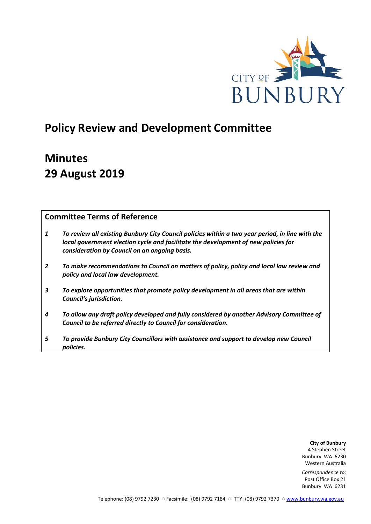

# **Policy Review and Development Committee**

# **Minutes 29 August 2019**

# **Committee Terms of Reference**

- *1 To review all existing Bunbury City Council policies within a two year period, in line with the local government election cycle and facilitate the development of new policies for consideration by Council on an ongoing basis.*
- *2 To make recommendations to Council on matters of policy, policy and local law review and policy and local law development.*
- *3 To explore opportunities that promote policy development in all areas that are within Council's jurisdiction.*
- *4 To allow any draft policy developed and fully considered by another Advisory Committee of Council to be referred directly to Council for consideration.*
- *5 To provide Bunbury City Councillors with assistance and support to develop new Council policies.*

**City of Bunbury** 4 Stephen Street Bunbury WA 6230 Western Australia

*Correspondence to:* Post Office Box 21 Bunbury WA 6231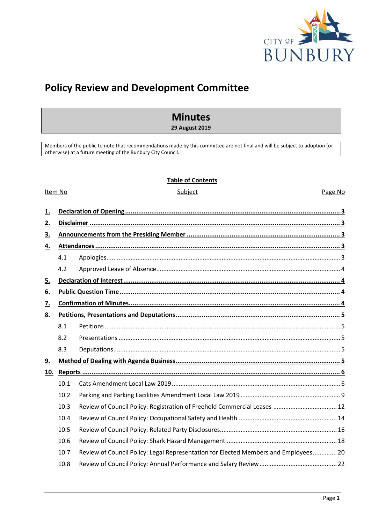

# **Policy Review and Development Committee**

# **Minutes**

**29 August 2019**

Members of the public to note that recommendations made by this committee are not final and will be subject to adoption (or otherwise) at a future meeting of the Bunbury City Council.

## **Table of Contents**

#### Item No **Subject** Subject **Page No. 2016**

| 1.               |      |                                                                                     |  |
|------------------|------|-------------------------------------------------------------------------------------|--|
|                  |      |                                                                                     |  |
| 2.               |      |                                                                                     |  |
| 3.               |      |                                                                                     |  |
| 4.               |      |                                                                                     |  |
|                  | 4.1  |                                                                                     |  |
|                  | 4.2  |                                                                                     |  |
| <u>5.</u>        |      |                                                                                     |  |
| 6.               |      |                                                                                     |  |
| $\overline{Z}$ . |      |                                                                                     |  |
| 8.               |      |                                                                                     |  |
|                  | 8.1  |                                                                                     |  |
|                  | 8.2  |                                                                                     |  |
|                  | 8.3  |                                                                                     |  |
| <u>9.</u>        |      |                                                                                     |  |
| 10.              |      |                                                                                     |  |
|                  | 10.1 |                                                                                     |  |
|                  | 10.2 |                                                                                     |  |
|                  | 10.3 |                                                                                     |  |
|                  | 10.4 |                                                                                     |  |
|                  | 10.5 |                                                                                     |  |
|                  | 10.6 |                                                                                     |  |
|                  | 10.7 | Review of Council Policy: Legal Representation for Elected Members and Employees 20 |  |
|                  | 10.8 |                                                                                     |  |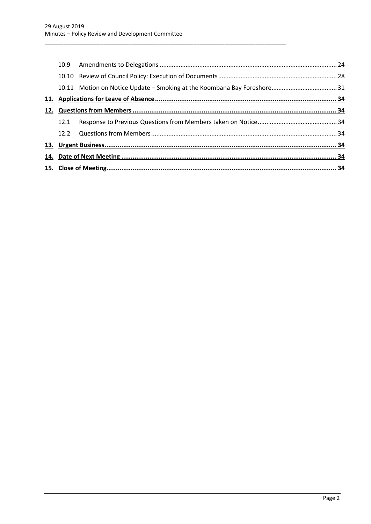<span id="page-2-0"></span>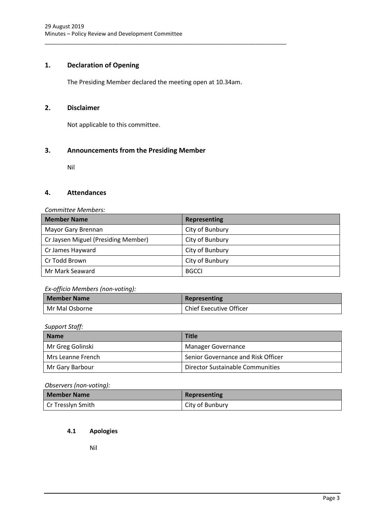# **1. Declaration of Opening**

The Presiding Member declared the meeting open at 10.34am.

\_\_\_\_\_\_\_\_\_\_\_\_\_\_\_\_\_\_\_\_\_\_\_\_\_\_\_\_\_\_\_\_\_\_\_\_\_\_\_\_\_\_\_\_\_\_\_\_\_\_\_\_\_\_\_\_\_\_\_\_\_\_\_\_\_\_\_\_\_\_\_\_\_\_\_\_\_\_

# <span id="page-3-0"></span>**2. Disclaimer**

Not applicable to this committee.

# <span id="page-3-1"></span>**3. Announcements from the Presiding Member**

Nil

# <span id="page-3-2"></span>**4. Attendances**

## *Committee Members:*

| <b>Member Name</b>                  | <b>Representing</b> |
|-------------------------------------|---------------------|
| Mayor Gary Brennan                  | City of Bunbury     |
| Cr Jaysen Miguel (Presiding Member) | City of Bunbury     |
| Cr James Hayward                    | City of Bunbury     |
| Cr Todd Brown                       | City of Bunbury     |
| Mr Mark Seaward                     | <b>BGCCI</b>        |

## *Ex-officio Members (non-voting):*

| <b>Member Name</b> | Representing                   |
|--------------------|--------------------------------|
| Mr Mal Osborne     | <b>Chief Executive Officer</b> |

*Support Staff:*

| <b>Name</b>       | <b>Title</b>                       |  |
|-------------------|------------------------------------|--|
| Mr Greg Golinski  | Manager Governance                 |  |
| Mrs Leanne French | Senior Governance and Risk Officer |  |
| Mr Gary Barbour   | Director Sustainable Communities   |  |

*Observers (non-voting):*

| <b>Member Name</b> | Representing    |
|--------------------|-----------------|
| Cr Tresslyn Smith_ | City of Bunbury |

## <span id="page-3-3"></span>**4.1 Apologies**

Nil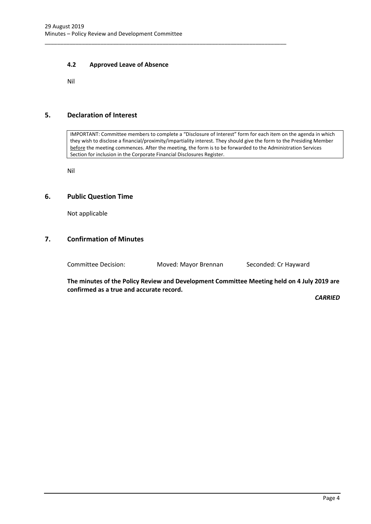## **4.2 Approved Leave of Absence**

Nil

# <span id="page-4-1"></span>**5. Declaration of Interest**

IMPORTANT: Committee members to complete a "Disclosure of Interest" form for each item on the agenda in which they wish to disclose a financial/proximity/impartiality interest. They should give the form to the Presiding Member before the meeting commences. After the meeting, the form is to be forwarded to the Administration Services Section for inclusion in the Corporate Financial Disclosures Register.

Nil

## <span id="page-4-2"></span>**6. Public Question Time**

Not applicable

# <span id="page-4-3"></span>**7. Confirmation of Minutes**

Committee Decision: Moved: Mayor Brennan Seconded: Cr Hayward

<span id="page-4-0"></span>\_\_\_\_\_\_\_\_\_\_\_\_\_\_\_\_\_\_\_\_\_\_\_\_\_\_\_\_\_\_\_\_\_\_\_\_\_\_\_\_\_\_\_\_\_\_\_\_\_\_\_\_\_\_\_\_\_\_\_\_\_\_\_\_\_\_\_\_\_\_\_\_\_\_\_\_\_\_

**The minutes of the Policy Review and Development Committee Meeting held on 4 July 2019 are confirmed as a true and accurate record.**

*CARRIED*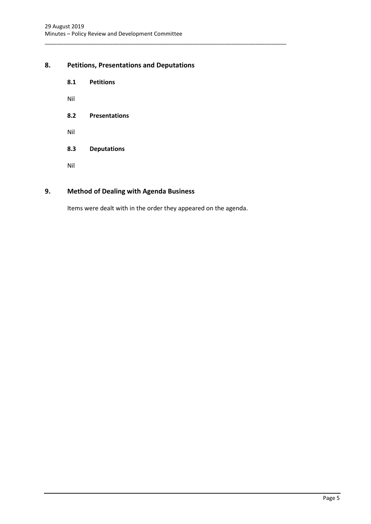# <span id="page-5-1"></span><span id="page-5-0"></span>**8. Petitions, Presentations and Deputations**

- **8.1 Petitions**
- Nil
- <span id="page-5-2"></span>**8.2 Presentations**
- Nil
- <span id="page-5-3"></span>**8.3 Deputations**
- Nil

# <span id="page-5-4"></span>**9. Method of Dealing with Agenda Business**

Items were dealt with in the order they appeared on the agenda.

\_\_\_\_\_\_\_\_\_\_\_\_\_\_\_\_\_\_\_\_\_\_\_\_\_\_\_\_\_\_\_\_\_\_\_\_\_\_\_\_\_\_\_\_\_\_\_\_\_\_\_\_\_\_\_\_\_\_\_\_\_\_\_\_\_\_\_\_\_\_\_\_\_\_\_\_\_\_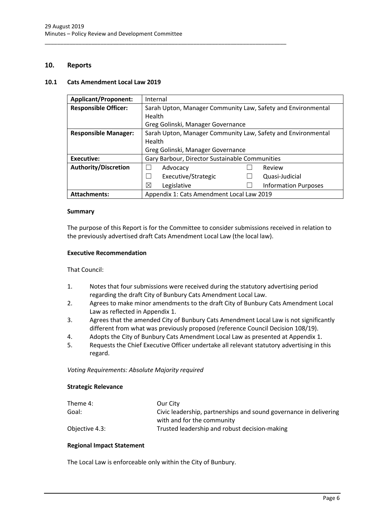\_\_\_\_\_\_\_\_\_\_\_\_\_\_\_\_\_\_\_\_\_\_\_\_\_\_\_\_\_\_\_\_\_\_\_\_\_\_\_\_\_\_\_\_\_\_\_\_\_\_\_\_\_\_\_\_\_\_\_\_\_\_\_\_\_\_\_\_\_\_\_\_\_\_\_\_\_\_

# <span id="page-6-0"></span>**10. Reports**

## <span id="page-6-1"></span>**10.1 Cats Amendment Local Law 2019**

| <b>Applicant/Proponent:</b> | Internal                                                     |  |  |
|-----------------------------|--------------------------------------------------------------|--|--|
| <b>Responsible Officer:</b> | Sarah Upton, Manager Community Law, Safety and Environmental |  |  |
|                             | Health                                                       |  |  |
|                             | Greg Golinski, Manager Governance                            |  |  |
| <b>Responsible Manager:</b> | Sarah Upton, Manager Community Law, Safety and Environmental |  |  |
|                             | Health                                                       |  |  |
|                             | Greg Golinski, Manager Governance                            |  |  |
| Executive:                  | Gary Barbour, Director Sustainable Communities               |  |  |
| <b>Authority/Discretion</b> | Review<br>Advocacy                                           |  |  |
|                             | Executive/Strategic<br>Quasi-Judicial                        |  |  |
|                             | Χ<br><b>Information Purposes</b><br>Legislative              |  |  |
| <b>Attachments:</b>         | Appendix 1: Cats Amendment Local Law 2019                    |  |  |

## **Summary**

The purpose of this Report is for the Committee to consider submissions received in relation to the previously advertised draft Cats Amendment Local Law (the local law).

## **Executive Recommendation**

That Council:

- 1. Notes that four submissions were received during the statutory advertising period regarding the draft City of Bunbury Cats Amendment Local Law.
- 2. Agrees to make minor amendments to the draft City of Bunbury Cats Amendment Local Law as reflected in Appendix 1.
- 3. Agrees that the amended City of Bunbury Cats Amendment Local Law is not significantly different from what was previously proposed (reference Council Decision 108/19).
- 4. Adopts the City of Bunbury Cats Amendment Local Law as presented at Appendix 1.
- 5. Requests the Chief Executive Officer undertake all relevant statutory advertising in this regard.

*Voting Requirements: Absolute Majority required* 

## **Strategic Relevance**

| Theme 4:       | Our City                                                          |
|----------------|-------------------------------------------------------------------|
| Goal:          | Civic leadership, partnerships and sound governance in delivering |
|                | with and for the community                                        |
| Objective 4.3: | Trusted leadership and robust decision-making                     |

## **Regional Impact Statement**

The Local Law is enforceable only within the City of Bunbury.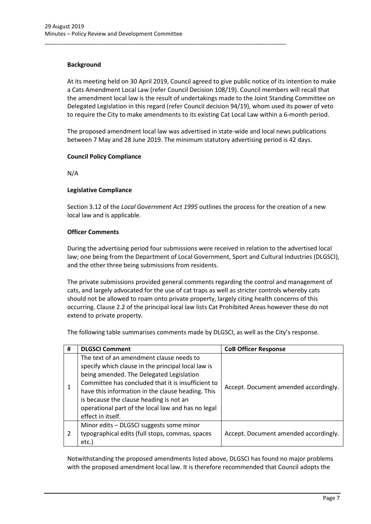# **Background**

At its meeting held on 30 April 2019, Council agreed to give public notice of its intention to make a Cats Amendment Local Law (refer Council Decision 108/19). Council members will recall that the amendment local law is the result of undertakings made to the Joint Standing Committee on Delegated Legislation in this regard (refer Council decision 94/19), whom used its power of veto to require the City to make amendments to its existing Cat Local Law within a 6-month period.

\_\_\_\_\_\_\_\_\_\_\_\_\_\_\_\_\_\_\_\_\_\_\_\_\_\_\_\_\_\_\_\_\_\_\_\_\_\_\_\_\_\_\_\_\_\_\_\_\_\_\_\_\_\_\_\_\_\_\_\_\_\_\_\_\_\_\_\_\_\_\_\_\_\_\_\_\_\_

The proposed amendment local law was advertised in state-wide and local news publications between 7 May and 28 June 2019. The minimum statutory advertising period is 42 days.

# **Council Policy Compliance**

N/A

## **Legislative Compliance**

Section 3.12 of the *Local Government Act 1995* outlines the process for the creation of a new local law and is applicable.

## **Officer Comments**

During the advertising period four submissions were received in relation to the advertised local law; one being from the Department of Local Government, Sport and Cultural Industries (DLGSCI), and the other three being submissions from residents.

The private submissions provided general comments regarding the control and management of cats, and largely advocated for the use of cat traps as well as stricter controls whereby cats should not be allowed to roam onto private property, largely citing health concerns of this occurring. Clause 2.2 of the principal local law lists Cat Prohibited Areas however these do not extend to private property.

The following table summarises comments made by DLGSCI, as well as the City's response.

| # | <b>DLGSCI Comment</b>                                                                                                                                                                                                                                                                                                                                                       | <b>CoB Officer Response</b>           |
|---|-----------------------------------------------------------------------------------------------------------------------------------------------------------------------------------------------------------------------------------------------------------------------------------------------------------------------------------------------------------------------------|---------------------------------------|
| 1 | The text of an amendment clause needs to<br>specify which clause in the principal local law is<br>being amended. The Delegated Legislation<br>Committee has concluded that it is insufficient to<br>have this information in the clause heading. This<br>is because the clause heading is not an<br>operational part of the local law and has no legal<br>effect in itself. | Accept. Document amended accordingly. |
| 2 | Minor edits - DLGSCI suggests some minor<br>typographical edits (full stops, commas, spaces<br>etc.)                                                                                                                                                                                                                                                                        | Accept. Document amended accordingly. |

Notwithstanding the proposed amendments listed above, DLGSCI has found no major problems with the proposed amendment local law. It is therefore recommended that Council adopts the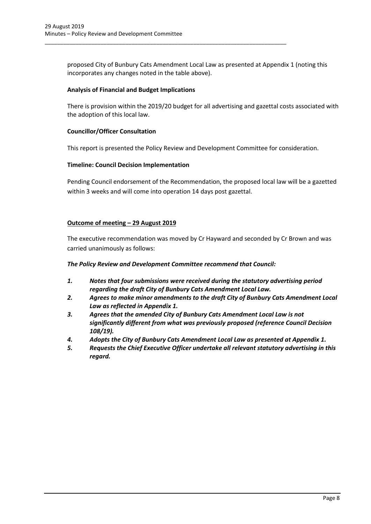proposed City of Bunbury Cats Amendment Local Law as presented at Appendix 1 (noting this incorporates any changes noted in the table above).

\_\_\_\_\_\_\_\_\_\_\_\_\_\_\_\_\_\_\_\_\_\_\_\_\_\_\_\_\_\_\_\_\_\_\_\_\_\_\_\_\_\_\_\_\_\_\_\_\_\_\_\_\_\_\_\_\_\_\_\_\_\_\_\_\_\_\_\_\_\_\_\_\_\_\_\_\_\_

## **Analysis of Financial and Budget Implications**

There is provision within the 2019/20 budget for all advertising and gazettal costs associated with the adoption of this local law.

## **Councillor/Officer Consultation**

This report is presented the Policy Review and Development Committee for consideration.

## **Timeline: Council Decision Implementation**

Pending Council endorsement of the Recommendation, the proposed local law will be a gazetted within 3 weeks and will come into operation 14 days post gazettal.

## **Outcome of meeting – 29 August 2019**

The executive recommendation was moved by Cr Hayward and seconded by Cr Brown and was carried unanimously as follows:

*The Policy Review and Development Committee recommend that Council:*

- *1. Notes that four submissions were received during the statutory advertising period regarding the draft City of Bunbury Cats Amendment Local Law.*
- *2. Agrees to make minor amendments to the draft City of Bunbury Cats Amendment Local Law as reflected in Appendix 1.*
- *3. Agrees that the amended City of Bunbury Cats Amendment Local Law is not significantly different from what was previously proposed (reference Council Decision 108/19).*
- *4. Adopts the City of Bunbury Cats Amendment Local Law as presented at Appendix 1.*
- *5. Requests the Chief Executive Officer undertake all relevant statutory advertising in this regard.*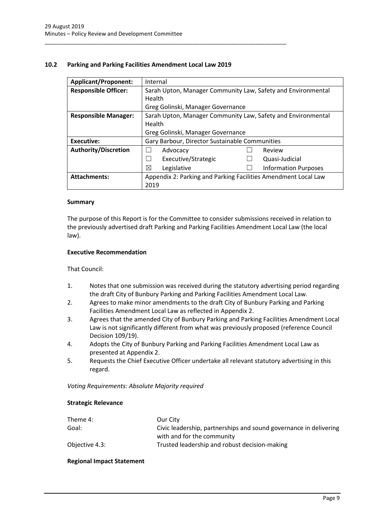## <span id="page-9-0"></span>**10.2 Parking and Parking Facilities Amendment Local Law 2019**

\_\_\_\_\_\_\_\_\_\_\_\_\_\_\_\_\_\_\_\_\_\_\_\_\_\_\_\_\_\_\_\_\_\_\_\_\_\_\_\_\_\_\_\_\_\_\_\_\_\_\_\_\_\_\_\_\_\_\_\_\_\_\_\_\_\_\_\_\_\_\_\_\_\_\_\_\_\_

| <b>Applicant/Proponent:</b> | Internal                                                       |  |                             |
|-----------------------------|----------------------------------------------------------------|--|-----------------------------|
| <b>Responsible Officer:</b> | Sarah Upton, Manager Community Law, Safety and Environmental   |  |                             |
|                             | Health                                                         |  |                             |
|                             | Greg Golinski, Manager Governance                              |  |                             |
| <b>Responsible Manager:</b> | Sarah Upton, Manager Community Law, Safety and Environmental   |  |                             |
|                             | Health                                                         |  |                             |
|                             | Greg Golinski, Manager Governance                              |  |                             |
| Executive:                  | Gary Barbour, Director Sustainable Communities                 |  |                             |
| <b>Authority/Discretion</b> | Advocacy                                                       |  | Review                      |
|                             | Executive/Strategic<br>$\overline{\phantom{a}}$                |  | Quasi-Judicial              |
|                             | ⊠<br>Legislative                                               |  | <b>Information Purposes</b> |
| <b>Attachments:</b>         | Appendix 2: Parking and Parking Facilities Amendment Local Law |  |                             |
|                             | 2019                                                           |  |                             |

## **Summary**

The purpose of this Report is for the Committee to consider submissions received in relation to the previously advertised draft Parking and Parking Facilities Amendment Local Law (the local law).

## **Executive Recommendation**

That Council:

- 1. Notes that one submission was received during the statutory advertising period regarding the draft City of Bunbury Parking and Parking Facilities Amendment Local Law.
- 2. Agrees to make minor amendments to the draft City of Bunbury Parking and Parking Facilities Amendment Local Law as reflected in Appendix 2.
- 3. Agrees that the amended City of Bunbury Parking and Parking Facilities Amendment Local Law is not significantly different from what was previously proposed (reference Council Decision 109/19).
- 4. Adopts the City of Bunbury Parking and Parking Facilities Amendment Local Law as presented at Appendix 2.
- 5. Requests the Chief Executive Officer undertake all relevant statutory advertising in this regard.

*Voting Requirements: Absolute Majority required* 

#### **Strategic Relevance**

| Theme 4:       | Our City                                                          |
|----------------|-------------------------------------------------------------------|
| Goal:          | Civic leadership, partnerships and sound governance in delivering |
|                | with and for the community                                        |
| Objective 4.3: | Trusted leadership and robust decision-making                     |

## **Regional Impact Statement**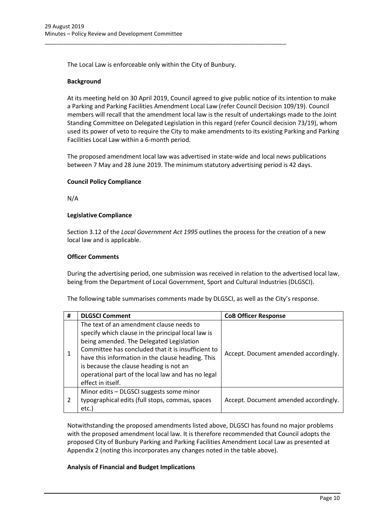The Local Law is enforceable only within the City of Bunbury.

\_\_\_\_\_\_\_\_\_\_\_\_\_\_\_\_\_\_\_\_\_\_\_\_\_\_\_\_\_\_\_\_\_\_\_\_\_\_\_\_\_\_\_\_\_\_\_\_\_\_\_\_\_\_\_\_\_\_\_\_\_\_\_\_\_\_\_\_\_\_\_\_\_\_\_\_\_\_

## **Background**

At its meeting held on 30 April 2019, Council agreed to give public notice of its intention to make a Parking and Parking Facilities Amendment Local Law (refer Council Decision 109/19). Council members will recall that the amendment local law is the result of undertakings made to the Joint Standing Committee on Delegated Legislation in this regard (refer Council decision 73/19), whom used its power of veto to require the City to make amendments to its existing Parking and Parking Facilities Local Law within a 6-month period.

The proposed amendment local law was advertised in state-wide and local news publications between 7 May and 28 June 2019. The minimum statutory advertising period is 42 days.

## **Council Policy Compliance**

N/A

#### **Legislative Compliance**

Section 3.12 of the *Local Government Act 1995* outlines the process for the creation of a new local law and is applicable.

#### **Officer Comments**

During the advertising period, one submission was received in relation to the advertised local law, being from the Department of Local Government, Sport and Cultural Industries (DLGSCI).

The following table summarises comments made by DLGSCI, as well as the City's response.

| # | <b>DLGSCI Comment</b>                                                                                                                                                                                                                                                                                                                                                       | <b>CoB Officer Response</b>           |
|---|-----------------------------------------------------------------------------------------------------------------------------------------------------------------------------------------------------------------------------------------------------------------------------------------------------------------------------------------------------------------------------|---------------------------------------|
|   | The text of an amendment clause needs to<br>specify which clause in the principal local law is<br>being amended. The Delegated Legislation<br>Committee has concluded that it is insufficient to<br>have this information in the clause heading. This<br>is because the clause heading is not an<br>operational part of the local law and has no legal<br>effect in itself. | Accept. Document amended accordingly. |
| 2 | Minor edits - DLGSCI suggests some minor<br>typographical edits (full stops, commas, spaces<br>etc.)                                                                                                                                                                                                                                                                        | Accept. Document amended accordingly. |

Notwithstanding the proposed amendments listed above, DLGSCI has found no major problems with the proposed amendment local law. It is therefore recommended that Council adopts the proposed City of Bunbury Parking and Parking Facilities Amendment Local Law as presented at Appendix 2 (noting this incorporates any changes noted in the table above).

## **Analysis of Financial and Budget Implications**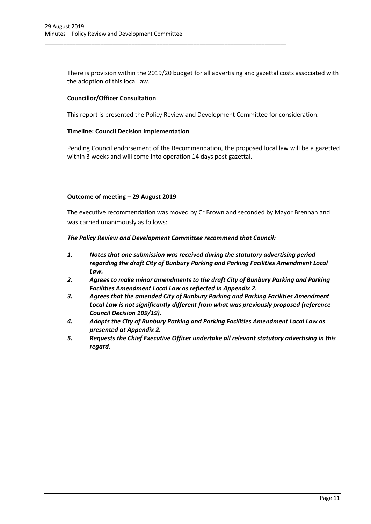There is provision within the 2019/20 budget for all advertising and gazettal costs associated with the adoption of this local law.

## **Councillor/Officer Consultation**

This report is presented the Policy Review and Development Committee for consideration.

\_\_\_\_\_\_\_\_\_\_\_\_\_\_\_\_\_\_\_\_\_\_\_\_\_\_\_\_\_\_\_\_\_\_\_\_\_\_\_\_\_\_\_\_\_\_\_\_\_\_\_\_\_\_\_\_\_\_\_\_\_\_\_\_\_\_\_\_\_\_\_\_\_\_\_\_\_\_

## **Timeline: Council Decision Implementation**

Pending Council endorsement of the Recommendation, the proposed local law will be a gazetted within 3 weeks and will come into operation 14 days post gazettal.

## **Outcome of meeting – 29 August 2019**

The executive recommendation was moved by Cr Brown and seconded by Mayor Brennan and was carried unanimously as follows:

*The Policy Review and Development Committee recommend that Council:*

- *1. Notes that one submission was received during the statutory advertising period regarding the draft City of Bunbury Parking and Parking Facilities Amendment Local Law.*
- *2. Agrees to make minor amendments to the draft City of Bunbury Parking and Parking Facilities Amendment Local Law as reflected in Appendix 2.*
- *3. Agrees that the amended City of Bunbury Parking and Parking Facilities Amendment Local Law is not significantly different from what was previously proposed (reference Council Decision 109/19).*
- *4. Adopts the City of Bunbury Parking and Parking Facilities Amendment Local Law as presented at Appendix 2.*
- *5. Requests the Chief Executive Officer undertake all relevant statutory advertising in this regard.*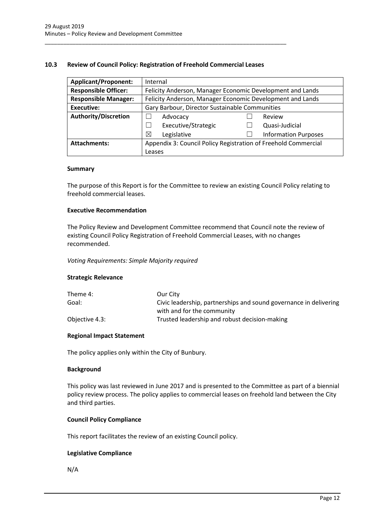## <span id="page-12-0"></span>**10.3 Review of Council Policy: Registration of Freehold Commercial Leases**

\_\_\_\_\_\_\_\_\_\_\_\_\_\_\_\_\_\_\_\_\_\_\_\_\_\_\_\_\_\_\_\_\_\_\_\_\_\_\_\_\_\_\_\_\_\_\_\_\_\_\_\_\_\_\_\_\_\_\_\_\_\_\_\_\_\_\_\_\_\_\_\_\_\_\_\_\_\_

| <b>Applicant/Proponent:</b> | Internal                                                       |                                                           |  |  |
|-----------------------------|----------------------------------------------------------------|-----------------------------------------------------------|--|--|
| <b>Responsible Officer:</b> | Felicity Anderson, Manager Economic Development and Lands      |                                                           |  |  |
| <b>Responsible Manager:</b> |                                                                | Felicity Anderson, Manager Economic Development and Lands |  |  |
| Executive:                  | Gary Barbour, Director Sustainable Communities                 |                                                           |  |  |
| <b>Authority/Discretion</b> | Advocacy                                                       | Review                                                    |  |  |
|                             | Executive/Strategic                                            | Quasi-Judicial                                            |  |  |
|                             | ⊠<br>Legislative                                               | <b>Information Purposes</b>                               |  |  |
| <b>Attachments:</b>         | Appendix 3: Council Policy Registration of Freehold Commercial |                                                           |  |  |
|                             | Leases                                                         |                                                           |  |  |

#### **Summary**

The purpose of this Report is for the Committee to review an existing Council Policy relating to freehold commercial leases.

## **Executive Recommendation**

The Policy Review and Development Committee recommend that Council note the review of existing Council Policy Registration of Freehold Commercial Leases, with no changes recommended.

#### *Voting Requirements: Simple Majority required*

## **Strategic Relevance**

| Theme 4:       | Our City                                                          |
|----------------|-------------------------------------------------------------------|
| Goal:          | Civic leadership, partnerships and sound governance in delivering |
|                | with and for the community                                        |
| Objective 4.3: | Trusted leadership and robust decision-making                     |

## **Regional Impact Statement**

The policy applies only within the City of Bunbury.

## **Background**

This policy was last reviewed in June 2017 and is presented to the Committee as part of a biennial policy review process. The policy applies to commercial leases on freehold land between the City and third parties.

## **Council Policy Compliance**

This report facilitates the review of an existing Council policy.

## **Legislative Compliance**

N/A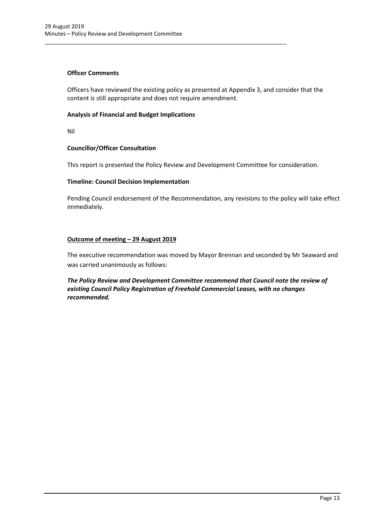## **Officer Comments**

Officers have reviewed the existing policy as presented at Appendix 3, and consider that the content is still appropriate and does not require amendment.

\_\_\_\_\_\_\_\_\_\_\_\_\_\_\_\_\_\_\_\_\_\_\_\_\_\_\_\_\_\_\_\_\_\_\_\_\_\_\_\_\_\_\_\_\_\_\_\_\_\_\_\_\_\_\_\_\_\_\_\_\_\_\_\_\_\_\_\_\_\_\_\_\_\_\_\_\_\_

## **Analysis of Financial and Budget Implications**

Nil

## **Councillor/Officer Consultation**

This report is presented the Policy Review and Development Committee for consideration.

## **Timeline: Council Decision Implementation**

Pending Council endorsement of the Recommendation, any revisions to the policy will take effect immediately.

## **Outcome of meeting – 29 August 2019**

The executive recommendation was moved by Mayor Brennan and seconded by Mr Seaward and was carried unanimously as follows:

*The Policy Review and Development Committee recommend that Council note the review of existing Council Policy Registration of Freehold Commercial Leases, with no changes recommended.*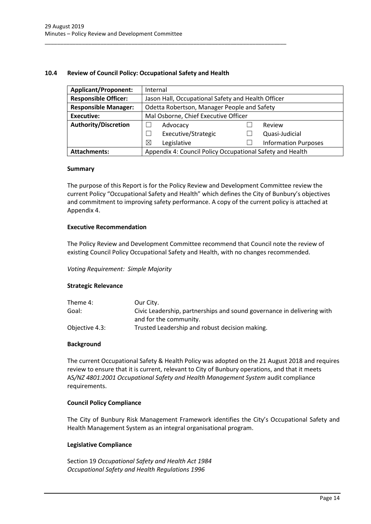## <span id="page-14-0"></span>**10.4 Review of Council Policy: Occupational Safety and Health**

\_\_\_\_\_\_\_\_\_\_\_\_\_\_\_\_\_\_\_\_\_\_\_\_\_\_\_\_\_\_\_\_\_\_\_\_\_\_\_\_\_\_\_\_\_\_\_\_\_\_\_\_\_\_\_\_\_\_\_\_\_\_\_\_\_\_\_\_\_\_\_\_\_\_\_\_\_\_

| <b>Applicant/Proponent:</b> | Internal                                                  |  |                             |  |
|-----------------------------|-----------------------------------------------------------|--|-----------------------------|--|
| <b>Responsible Officer:</b> | Jason Hall, Occupational Safety and Health Officer        |  |                             |  |
| <b>Responsible Manager:</b> | Odetta Robertson, Manager People and Safety               |  |                             |  |
| <b>Executive:</b>           | Mal Osborne, Chief Executive Officer                      |  |                             |  |
| <b>Authority/Discretion</b> | Review<br>Advocacy                                        |  |                             |  |
|                             | Executive/Strategic                                       |  | Quasi-Judicial              |  |
|                             | ⊠<br>Legislative                                          |  | <b>Information Purposes</b> |  |
| <b>Attachments:</b>         | Appendix 4: Council Policy Occupational Safety and Health |  |                             |  |

#### **Summary**

The purpose of this Report is for the Policy Review and Development Committee review the current Policy "Occupational Safety and Health" which defines the City of Bunbury's objectives and commitment to improving safety performance. A copy of the current policy is attached at Appendix 4.

## **Executive Recommendation**

The Policy Review and Development Committee recommend that Council note the review of existing Council Policy Occupational Safety and Health, with no changes recommended.

## *Voting Requirement: Simple Majority*

## **Strategic Relevance**

| Theme 4:       | Our City.                                                              |
|----------------|------------------------------------------------------------------------|
| Goal:          | Civic Leadership, partnerships and sound governance in delivering with |
|                | and for the community.                                                 |
| Objective 4.3: | Trusted Leadership and robust decision making.                         |

## **Background**

The current Occupational Safety & Health Policy was adopted on the 21 August 2018 and requires review to ensure that it is current, relevant to City of Bunbury operations, and that it meets AS*/NZ 4801:2001 Occupational Safety and Health Management System* audit compliance requirements.

## **Council Policy Compliance**

The City of Bunbury Risk Management Framework identifies the City's Occupational Safety and Health Management System as an integral organisational program.

## **Legislative Compliance**

Section 19 *Occupational Safety and Health Act 1984 Occupational Safety and Health Regulations 1996*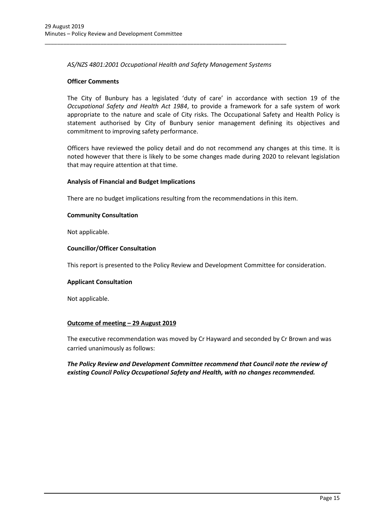*AS/NZS 4801:2001 Occupational Health and Safety Management Systems*

\_\_\_\_\_\_\_\_\_\_\_\_\_\_\_\_\_\_\_\_\_\_\_\_\_\_\_\_\_\_\_\_\_\_\_\_\_\_\_\_\_\_\_\_\_\_\_\_\_\_\_\_\_\_\_\_\_\_\_\_\_\_\_\_\_\_\_\_\_\_\_\_\_\_\_\_\_\_

## **Officer Comments**

The City of Bunbury has a legislated 'duty of care' in accordance with section 19 of the *Occupational Safety and Health Act 1984*, to provide a framework for a safe system of work appropriate to the nature and scale of City risks. The Occupational Safety and Health Policy is statement authorised by City of Bunbury senior management defining its objectives and commitment to improving safety performance.

Officers have reviewed the policy detail and do not recommend any changes at this time. It is noted however that there is likely to be some changes made during 2020 to relevant legislation that may require attention at that time.

## **Analysis of Financial and Budget Implications**

There are no budget implications resulting from the recommendations in this item.

## **Community Consultation**

Not applicable.

## **Councillor/Officer Consultation**

This report is presented to the Policy Review and Development Committee for consideration.

## **Applicant Consultation**

Not applicable.

# **Outcome of meeting – 29 August 2019**

The executive recommendation was moved by Cr Hayward and seconded by Cr Brown and was carried unanimously as follows:

*The Policy Review and Development Committee recommend that Council note the review of existing Council Policy Occupational Safety and Health, with no changes recommended.*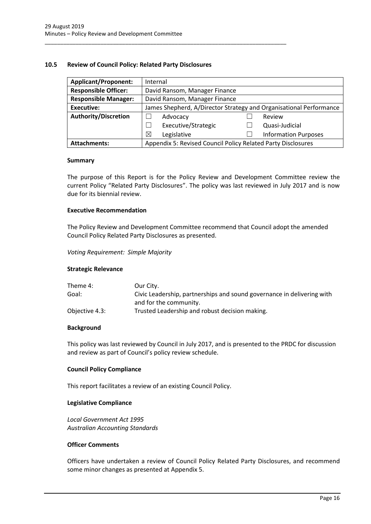## <span id="page-16-0"></span>**10.5 Review of Council Policy: Related Party Disclosures**

\_\_\_\_\_\_\_\_\_\_\_\_\_\_\_\_\_\_\_\_\_\_\_\_\_\_\_\_\_\_\_\_\_\_\_\_\_\_\_\_\_\_\_\_\_\_\_\_\_\_\_\_\_\_\_\_\_\_\_\_\_\_\_\_\_\_\_\_\_\_\_\_\_\_\_\_\_\_

| <b>Applicant/Proponent:</b> | Internal                                                           |  |                             |
|-----------------------------|--------------------------------------------------------------------|--|-----------------------------|
| <b>Responsible Officer:</b> | David Ransom, Manager Finance                                      |  |                             |
| <b>Responsible Manager:</b> | David Ransom, Manager Finance                                      |  |                             |
| <b>Executive:</b>           | James Shepherd, A/Director Strategy and Organisational Performance |  |                             |
| <b>Authority/Discretion</b> | Advocacy                                                           |  | Review                      |
|                             | Executive/Strategic                                                |  | Quasi-Judicial              |
|                             | Legislative<br>⊠                                                   |  | <b>Information Purposes</b> |
| <b>Attachments:</b>         | Appendix 5: Revised Council Policy Related Party Disclosures       |  |                             |

#### **Summary**

The purpose of this Report is for the Policy Review and Development Committee review the current Policy "Related Party Disclosures". The policy was last reviewed in July 2017 and is now due for its biennial review.

## **Executive Recommendation**

The Policy Review and Development Committee recommend that Council adopt the amended Council Policy Related Party Disclosures as presented.

*Voting Requirement: Simple Majority*

## **Strategic Relevance**

| Theme 4:       | Our City.                                                              |
|----------------|------------------------------------------------------------------------|
| Goal:          | Civic Leadership, partnerships and sound governance in delivering with |
|                | and for the community.                                                 |
| Objective 4.3: | Trusted Leadership and robust decision making.                         |

## **Background**

This policy was last reviewed by Council in July 2017, and is presented to the PRDC for discussion and review as part of Council's policy review schedule.

## **Council Policy Compliance**

This report facilitates a review of an existing Council Policy.

#### **Legislative Compliance**

*Local Government Act 1995 Australian Accounting Standards*

#### **Officer Comments**

Officers have undertaken a review of Council Policy Related Party Disclosures, and recommend some minor changes as presented at Appendix 5.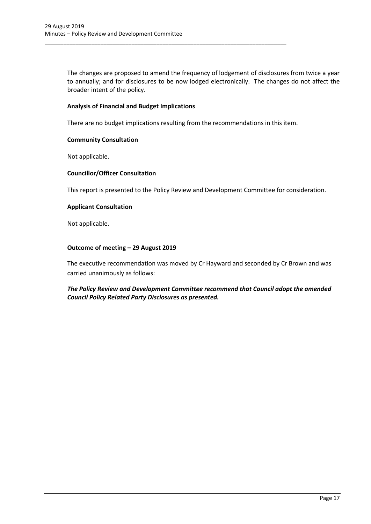The changes are proposed to amend the frequency of lodgement of disclosures from twice a year to annually; and for disclosures to be now lodged electronically. The changes do not affect the broader intent of the policy.

## **Analysis of Financial and Budget Implications**

There are no budget implications resulting from the recommendations in this item.

\_\_\_\_\_\_\_\_\_\_\_\_\_\_\_\_\_\_\_\_\_\_\_\_\_\_\_\_\_\_\_\_\_\_\_\_\_\_\_\_\_\_\_\_\_\_\_\_\_\_\_\_\_\_\_\_\_\_\_\_\_\_\_\_\_\_\_\_\_\_\_\_\_\_\_\_\_\_

## **Community Consultation**

Not applicable.

## **Councillor/Officer Consultation**

This report is presented to the Policy Review and Development Committee for consideration.

## **Applicant Consultation**

Not applicable.

## **Outcome of meeting – 29 August 2019**

The executive recommendation was moved by Cr Hayward and seconded by Cr Brown and was carried unanimously as follows:

# *The Policy Review and Development Committee recommend that Council adopt the amended Council Policy Related Party Disclosures as presented.*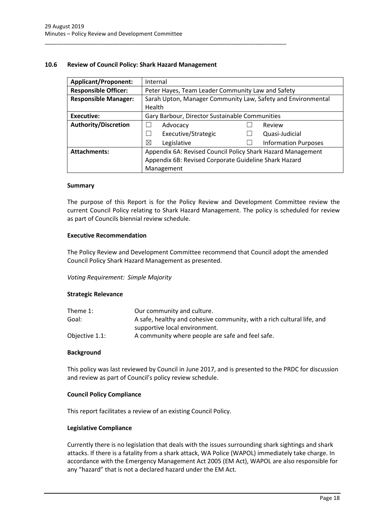## <span id="page-18-0"></span>**10.6 Review of Council Policy: Shark Hazard Management**

\_\_\_\_\_\_\_\_\_\_\_\_\_\_\_\_\_\_\_\_\_\_\_\_\_\_\_\_\_\_\_\_\_\_\_\_\_\_\_\_\_\_\_\_\_\_\_\_\_\_\_\_\_\_\_\_\_\_\_\_\_\_\_\_\_\_\_\_\_\_\_\_\_\_\_\_\_\_

| <b>Applicant/Proponent:</b> | Internal                                                    |                                                              |  |  |
|-----------------------------|-------------------------------------------------------------|--------------------------------------------------------------|--|--|
| <b>Responsible Officer:</b> |                                                             | Peter Hayes, Team Leader Community Law and Safety            |  |  |
| <b>Responsible Manager:</b> |                                                             | Sarah Upton, Manager Community Law, Safety and Environmental |  |  |
|                             | Health                                                      |                                                              |  |  |
| Executive:                  | Gary Barbour, Director Sustainable Communities              |                                                              |  |  |
| <b>Authority/Discretion</b> | Advocacy                                                    | Review                                                       |  |  |
|                             | Executive/Strategic                                         | Quasi-Judicial                                               |  |  |
|                             | ⊠<br>Legislative                                            | <b>Information Purposes</b>                                  |  |  |
| <b>Attachments:</b>         | Appendix 6A: Revised Council Policy Shark Hazard Management |                                                              |  |  |
|                             | Appendix 6B: Revised Corporate Guideline Shark Hazard       |                                                              |  |  |
|                             | Management                                                  |                                                              |  |  |

#### **Summary**

The purpose of this Report is for the Policy Review and Development Committee review the current Council Policy relating to Shark Hazard Management. The policy is scheduled for review as part of Councils biennial review schedule.

## **Executive Recommendation**

The Policy Review and Development Committee recommend that Council adopt the amended Council Policy Shark Hazard Management as presented.

## *Voting Requirement: Simple Majority*

## **Strategic Relevance**

| Theme 1:       | Our community and culture.                                             |
|----------------|------------------------------------------------------------------------|
| Goal:          | A safe, healthy and cohesive community, with a rich cultural life, and |
|                | supportive local environment.                                          |
| Objective 1.1: | A community where people are safe and feel safe.                       |

## **Background**

This policy was last reviewed by Council in June 2017, and is presented to the PRDC for discussion and review as part of Council's policy review schedule.

## **Council Policy Compliance**

This report facilitates a review of an existing Council Policy.

## **Legislative Compliance**

Currently there is no legislation that deals with the issues surrounding shark sightings and shark attacks. If there is a fatality from a shark attack, WA Police (WAPOL) immediately take charge. In accordance with the Emergency Management Act 2005 (EM Act), WAPOL are also responsible for any "hazard" that is not a declared hazard under the EM Act.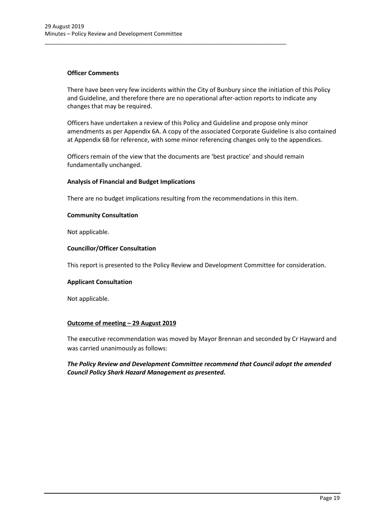## **Officer Comments**

There have been very few incidents within the City of Bunbury since the initiation of this Policy and Guideline, and therefore there are no operational after-action reports to indicate any changes that may be required.

Officers have undertaken a review of this Policy and Guideline and propose only minor amendments as per Appendix 6A. A copy of the associated Corporate Guideline is also contained at Appendix 6B for reference, with some minor referencing changes only to the appendices.

Officers remain of the view that the documents are 'best practice' and should remain fundamentally unchanged.

\_\_\_\_\_\_\_\_\_\_\_\_\_\_\_\_\_\_\_\_\_\_\_\_\_\_\_\_\_\_\_\_\_\_\_\_\_\_\_\_\_\_\_\_\_\_\_\_\_\_\_\_\_\_\_\_\_\_\_\_\_\_\_\_\_\_\_\_\_\_\_\_\_\_\_\_\_\_

## **Analysis of Financial and Budget Implications**

There are no budget implications resulting from the recommendations in this item.

## **Community Consultation**

Not applicable.

## **Councillor/Officer Consultation**

This report is presented to the Policy Review and Development Committee for consideration.

## **Applicant Consultation**

Not applicable.

# **Outcome of meeting – 29 August 2019**

The executive recommendation was moved by Mayor Brennan and seconded by Cr Hayward and was carried unanimously as follows:

# *The Policy Review and Development Committee recommend that Council adopt the amended Council Policy Shark Hazard Management as presented.*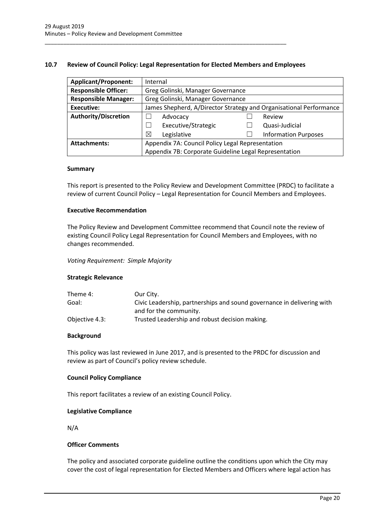## <span id="page-20-0"></span>**10.7 Review of Council Policy: Legal Representation for Elected Members and Employees**

\_\_\_\_\_\_\_\_\_\_\_\_\_\_\_\_\_\_\_\_\_\_\_\_\_\_\_\_\_\_\_\_\_\_\_\_\_\_\_\_\_\_\_\_\_\_\_\_\_\_\_\_\_\_\_\_\_\_\_\_\_\_\_\_\_\_\_\_\_\_\_\_\_\_\_\_\_\_

| <b>Applicant/Proponent:</b> | Internal                                                           |                                                       |  |                             |
|-----------------------------|--------------------------------------------------------------------|-------------------------------------------------------|--|-----------------------------|
| <b>Responsible Officer:</b> |                                                                    | Greg Golinski, Manager Governance                     |  |                             |
| <b>Responsible Manager:</b> |                                                                    | Greg Golinski, Manager Governance                     |  |                             |
| Executive:                  | James Shepherd, A/Director Strategy and Organisational Performance |                                                       |  |                             |
| <b>Authority/Discretion</b> |                                                                    | Advocacy                                              |  | Review                      |
|                             |                                                                    | Executive/Strategic                                   |  | Quasi-Judicial              |
|                             | ⊠                                                                  | Legislative                                           |  | <b>Information Purposes</b> |
| <b>Attachments:</b>         | Appendix 7A: Council Policy Legal Representation                   |                                                       |  |                             |
|                             |                                                                    | Appendix 7B: Corporate Guideline Legal Representation |  |                             |

#### **Summary**

This report is presented to the Policy Review and Development Committee (PRDC) to facilitate a review of current Council Policy – Legal Representation for Council Members and Employees.

## **Executive Recommendation**

The Policy Review and Development Committee recommend that Council note the review of existing Council Policy Legal Representation for Council Members and Employees, with no changes recommended.

#### *Voting Requirement: Simple Majority*

## **Strategic Relevance**

| Theme 4:       | Our City.                                                              |
|----------------|------------------------------------------------------------------------|
| Goal:          | Civic Leadership, partnerships and sound governance in delivering with |
|                | and for the community.                                                 |
| Objective 4.3: | Trusted Leadership and robust decision making.                         |

## **Background**

This policy was last reviewed in June 2017, and is presented to the PRDC for discussion and review as part of Council's policy review schedule.

## **Council Policy Compliance**

This report facilitates a review of an existing Council Policy.

## **Legislative Compliance**

N/A

## **Officer Comments**

The policy and associated corporate guideline outline the conditions upon which the City may cover the cost of legal representation for Elected Members and Officers where legal action has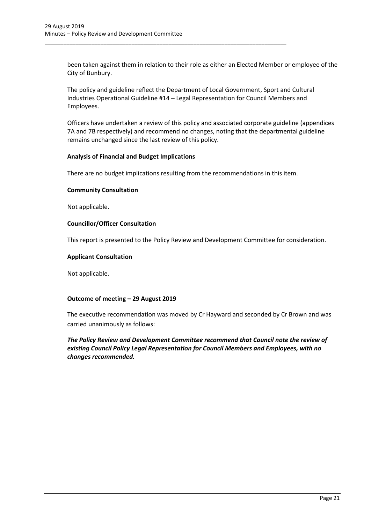been taken against them in relation to their role as either an Elected Member or employee of the City of Bunbury.

The policy and guideline reflect the Department of Local Government, Sport and Cultural Industries Operational Guideline #14 – Legal Representation for Council Members and Employees.

\_\_\_\_\_\_\_\_\_\_\_\_\_\_\_\_\_\_\_\_\_\_\_\_\_\_\_\_\_\_\_\_\_\_\_\_\_\_\_\_\_\_\_\_\_\_\_\_\_\_\_\_\_\_\_\_\_\_\_\_\_\_\_\_\_\_\_\_\_\_\_\_\_\_\_\_\_\_

Officers have undertaken a review of this policy and associated corporate guideline (appendices 7A and 7B respectively) and recommend no changes, noting that the departmental guideline remains unchanged since the last review of this policy.

## **Analysis of Financial and Budget Implications**

There are no budget implications resulting from the recommendations in this item.

#### **Community Consultation**

Not applicable.

## **Councillor/Officer Consultation**

This report is presented to the Policy Review and Development Committee for consideration.

#### **Applicant Consultation**

Not applicable.

## **Outcome of meeting – 29 August 2019**

The executive recommendation was moved by Cr Hayward and seconded by Cr Brown and was carried unanimously as follows:

*The Policy Review and Development Committee recommend that Council note the review of existing Council Policy Legal Representation for Council Members and Employees, with no changes recommended.*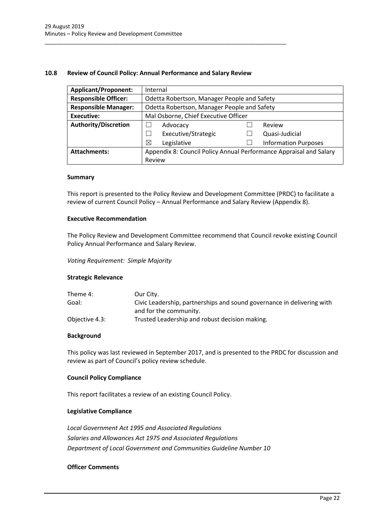## <span id="page-22-0"></span>**10.8 Review of Council Policy: Annual Performance and Salary Review**

\_\_\_\_\_\_\_\_\_\_\_\_\_\_\_\_\_\_\_\_\_\_\_\_\_\_\_\_\_\_\_\_\_\_\_\_\_\_\_\_\_\_\_\_\_\_\_\_\_\_\_\_\_\_\_\_\_\_\_\_\_\_\_\_\_\_\_\_\_\_\_\_\_\_\_\_\_\_

| <b>Applicant/Proponent:</b> |                                                                    | Internal                                    |  |                             |
|-----------------------------|--------------------------------------------------------------------|---------------------------------------------|--|-----------------------------|
| <b>Responsible Officer:</b> |                                                                    | Odetta Robertson, Manager People and Safety |  |                             |
| <b>Responsible Manager:</b> |                                                                    | Odetta Robertson, Manager People and Safety |  |                             |
| Executive:                  |                                                                    | Mal Osborne, Chief Executive Officer        |  |                             |
| <b>Authority/Discretion</b> |                                                                    | Advocacy                                    |  | Review                      |
|                             |                                                                    | Executive/Strategic                         |  | Quasi-Judicial              |
|                             | ⊠                                                                  | Legislative                                 |  | <b>Information Purposes</b> |
| <b>Attachments:</b>         | Appendix 8: Council Policy Annual Performance Appraisal and Salary |                                             |  |                             |
|                             | Review                                                             |                                             |  |                             |

#### **Summary**

This report is presented to the Policy Review and Development Committee (PRDC) to facilitate a review of current Council Policy – Annual Performance and Salary Review (Appendix 8).

## **Executive Recommendation**

The Policy Review and Development Committee recommend that Council revoke existing Council Policy Annual Performance and Salary Review.

*Voting Requirement: Simple Majority*

## **Strategic Relevance**

| Theme 4:       | Our City.                                                              |
|----------------|------------------------------------------------------------------------|
| Goal:          | Civic Leadership, partnerships and sound governance in delivering with |
|                | and for the community.                                                 |
| Objective 4.3: | Trusted Leadership and robust decision making.                         |

## **Background**

This policy was last reviewed in September 2017, and is presented to the PRDC for discussion and review as part of Council's policy review schedule.

## **Council Policy Compliance**

This report facilitates a review of an existing Council Policy.

## **Legislative Compliance**

*Local Government Act 1995 and Associated Regulations Salaries and Allowances Act 1975 and Associated Regulations Department of Local Government and Communities Guideline Number 10*

## **Officer Comments**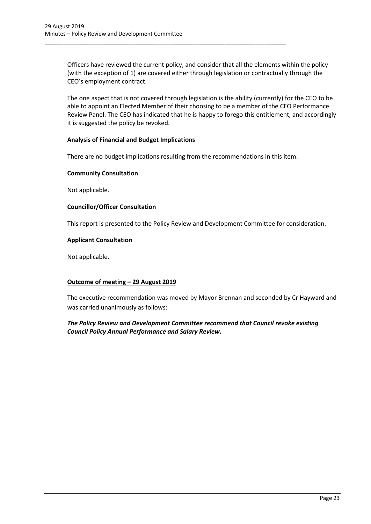Officers have reviewed the current policy, and consider that all the elements within the policy (with the exception of 1) are covered either through legislation or contractually through the CEO's employment contract.

\_\_\_\_\_\_\_\_\_\_\_\_\_\_\_\_\_\_\_\_\_\_\_\_\_\_\_\_\_\_\_\_\_\_\_\_\_\_\_\_\_\_\_\_\_\_\_\_\_\_\_\_\_\_\_\_\_\_\_\_\_\_\_\_\_\_\_\_\_\_\_\_\_\_\_\_\_\_

The one aspect that is not covered through legislation is the ability (currently) for the CEO to be able to appoint an Elected Member of their choosing to be a member of the CEO Performance Review Panel. The CEO has indicated that he is happy to forego this entitlement, and accordingly it is suggested the policy be revoked.

## **Analysis of Financial and Budget Implications**

There are no budget implications resulting from the recommendations in this item.

## **Community Consultation**

Not applicable.

## **Councillor/Officer Consultation**

This report is presented to the Policy Review and Development Committee for consideration.

## **Applicant Consultation**

Not applicable.

# **Outcome of meeting – 29 August 2019**

The executive recommendation was moved by Mayor Brennan and seconded by Cr Hayward and was carried unanimously as follows:

# *The Policy Review and Development Committee recommend that Council revoke existing Council Policy Annual Performance and Salary Review.*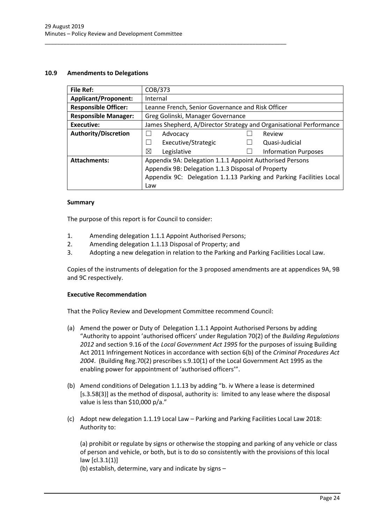## <span id="page-24-0"></span>**10.9 Amendments to Delegations**

| File Ref:                   | COB/373                                                             |                             |  |
|-----------------------------|---------------------------------------------------------------------|-----------------------------|--|
| <b>Applicant/Proponent:</b> | Internal                                                            |                             |  |
| <b>Responsible Officer:</b> | Leanne French, Senior Governance and Risk Officer                   |                             |  |
| <b>Responsible Manager:</b> | Greg Golinski, Manager Governance                                   |                             |  |
| <b>Executive:</b>           | James Shepherd, A/Director Strategy and Organisational Performance  |                             |  |
| <b>Authority/Discretion</b> | Advocacy                                                            | Review                      |  |
|                             | Executive/Strategic                                                 | Quasi-Judicial              |  |
|                             | ⊠<br>Legislative                                                    | <b>Information Purposes</b> |  |
| <b>Attachments:</b>         | Appendix 9A: Delegation 1.1.1 Appoint Authorised Persons            |                             |  |
|                             | Appendix 9B: Delegation 1.1.3 Disposal of Property                  |                             |  |
|                             | Appendix 9C: Delegation 1.1.13 Parking and Parking Facilities Local |                             |  |
|                             | Law                                                                 |                             |  |

## **Summary**

The purpose of this report is for Council to consider:

1. Amending delegation 1.1.1 Appoint Authorised Persons;

\_\_\_\_\_\_\_\_\_\_\_\_\_\_\_\_\_\_\_\_\_\_\_\_\_\_\_\_\_\_\_\_\_\_\_\_\_\_\_\_\_\_\_\_\_\_\_\_\_\_\_\_\_\_\_\_\_\_\_\_\_\_\_\_\_\_\_\_\_\_\_\_\_\_\_\_\_\_

- 2. Amending delegation 1.1.13 Disposal of Property; and
- 3. Adopting a new delegation in relation to the Parking and Parking Facilities Local Law.

Copies of the instruments of delegation for the 3 proposed amendments are at appendices 9A, 9B and 9C respectively.

## **Executive Recommendation**

That the Policy Review and Development Committee recommend Council:

- (a) Amend the power or Duty of Delegation 1.1.1 Appoint Authorised Persons by adding "Authority to appoint 'authorised officers' under Regulation 70(2) of the *Building Regulations 2012* and section 9.16 of the *Local Government Act 1995* for the purposes of issuing Building Act 2011 Infringement Notices in accordance with section 6(b) of the *Criminal Procedures Act 2004*. (Building Reg.70(2) prescribes s.9.10(1) of the Local Government Act 1995 as the enabling power for appointment of 'authorised officers'".
- (b) Amend conditions of Delegation 1.1.13 by adding "b. iv Where a lease is determined [s.3.58(3)] as the method of disposal, authority is: limited to any lease where the disposal value is less than \$10,000 p/a."
- (c) Adopt new delegation 1.1.19 Local Law Parking and Parking Facilities Local Law 2018: Authority to:

(a) prohibit or regulate by signs or otherwise the stopping and parking of any vehicle or class of person and vehicle, or both, but is to do so consistently with the provisions of this local law [cl.3.1(1)]

(b) establish, determine, vary and indicate by signs –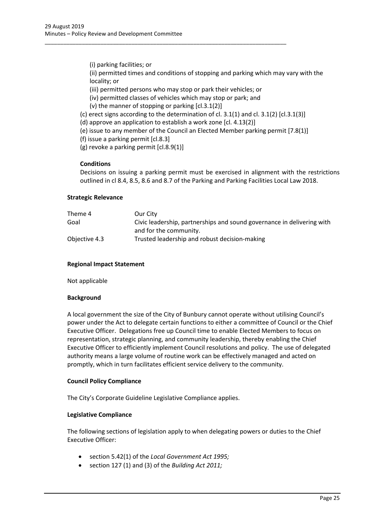(i) parking facilities; or

(ii) permitted times and conditions of stopping and parking which may vary with the locality; or

(iii) permitted persons who may stop or park their vehicles; or

- (iv) permitted classes of vehicles which may stop or park; and
- (v) the manner of stopping or parking [cl.3.1(2)]
- (c) erect signs according to the determination of cl. 3.1(1) and cl. 3.1(2)  $[cl.3.1(3)]$
- (d) approve an application to establish a work zone [cl. 4.13(2)]

\_\_\_\_\_\_\_\_\_\_\_\_\_\_\_\_\_\_\_\_\_\_\_\_\_\_\_\_\_\_\_\_\_\_\_\_\_\_\_\_\_\_\_\_\_\_\_\_\_\_\_\_\_\_\_\_\_\_\_\_\_\_\_\_\_\_\_\_\_\_\_\_\_\_\_\_\_\_

(e) issue to any member of the Council an Elected Member parking permit [7.8(1)]

(f) issue a parking permit [cl.8.3]

(g) revoke a parking permit [cl.8.9(1)]

## **Conditions**

Decisions on issuing a parking permit must be exercised in alignment with the restrictions outlined in cl 8.4, 8.5, 8.6 and 8.7 of the Parking and Parking Facilities Local Law 2018.

#### **Strategic Relevance**

| Theme 4       | Our City                                                               |
|---------------|------------------------------------------------------------------------|
| Goal          | Civic leadership, partnerships and sound governance in delivering with |
|               | and for the community.                                                 |
| Objective 4.3 | Trusted leadership and robust decision-making                          |

#### **Regional Impact Statement**

Not applicable

#### **Background**

A local government the size of the City of Bunbury cannot operate without utilising Council's power under the Act to delegate certain functions to either a committee of Council or the Chief Executive Officer. Delegations free up Council time to enable Elected Members to focus on representation, strategic planning, and community leadership, thereby enabling the Chief Executive Officer to efficiently implement Council resolutions and policy. The use of delegated authority means a large volume of routine work can be effectively managed and acted on promptly, which in turn facilitates efficient service delivery to the community.

## **Council Policy Compliance**

The City's Corporate Guideline Legislative Compliance applies.

#### **Legislative Compliance**

The following sections of legislation apply to when delegating powers or duties to the Chief Executive Officer:

- section 5.42(1) of the *Local Government Act 1995;*
- section 127 (1) and (3) of the *Building Act 2011;*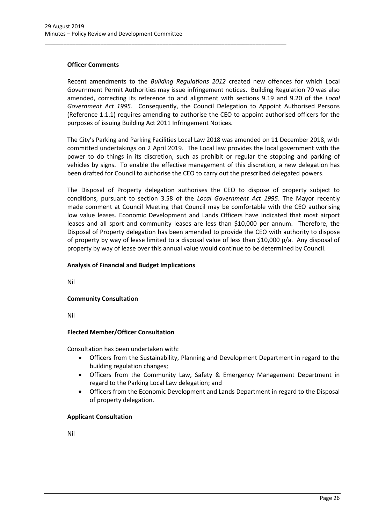## **Officer Comments**

Recent amendments to the *Building Regulations 2012* created new offences for which Local Government Permit Authorities may issue infringement notices. Building Regulation 70 was also amended, correcting its reference to and alignment with sections 9.19 and 9.20 of the *Local Government Act 1995*. Consequently, the Council Delegation to Appoint Authorised Persons (Reference 1.1.1) requires amending to authorise the CEO to appoint authorised officers for the purposes of issuing Building Act 2011 Infringement Notices.

\_\_\_\_\_\_\_\_\_\_\_\_\_\_\_\_\_\_\_\_\_\_\_\_\_\_\_\_\_\_\_\_\_\_\_\_\_\_\_\_\_\_\_\_\_\_\_\_\_\_\_\_\_\_\_\_\_\_\_\_\_\_\_\_\_\_\_\_\_\_\_\_\_\_\_\_\_\_

The City's Parking and Parking Facilities Local Law 2018 was amended on 11 December 2018, with committed undertakings on 2 April 2019. The Local law provides the local government with the power to do things in its discretion, such as prohibit or regular the stopping and parking of vehicles by signs. To enable the effective management of this discretion, a new delegation has been drafted for Council to authorise the CEO to carry out the prescribed delegated powers.

The Disposal of Property delegation authorises the CEO to dispose of property subject to conditions, pursuant to section 3.58 of the *Local Government Act 1995*. The Mayor recently made comment at Council Meeting that Council may be comfortable with the CEO authorising low value leases. Economic Development and Lands Officers have indicated that most airport leases and all sport and community leases are less than \$10,000 per annum. Therefore, the Disposal of Property delegation has been amended to provide the CEO with authority to dispose of property by way of lease limited to a disposal value of less than \$10,000 p/a. Any disposal of property by way of lease over this annual value would continue to be determined by Council.

## **Analysis of Financial and Budget Implications**

Nil

# **Community Consultation**

Nil

# **Elected Member/Officer Consultation**

Consultation has been undertaken with:

- Officers from the Sustainability, Planning and Development Department in regard to the building regulation changes;
- Officers from the Community Law, Safety & Emergency Management Department in regard to the Parking Local Law delegation; and
- Officers from the Economic Development and Lands Department in regard to the Disposal of property delegation.

## **Applicant Consultation**

Nil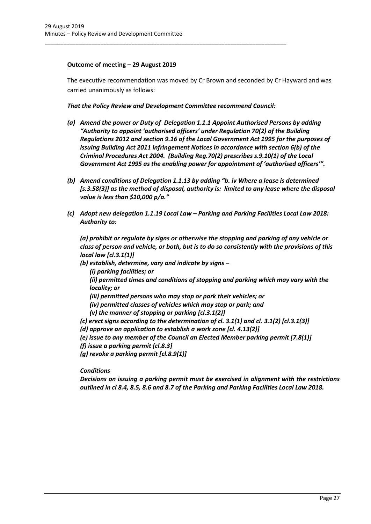# **Outcome of meeting – 29 August 2019**

The executive recommendation was moved by Cr Brown and seconded by Cr Hayward and was carried unanimously as follows:

*That the Policy Review and Development Committee recommend Council:*

\_\_\_\_\_\_\_\_\_\_\_\_\_\_\_\_\_\_\_\_\_\_\_\_\_\_\_\_\_\_\_\_\_\_\_\_\_\_\_\_\_\_\_\_\_\_\_\_\_\_\_\_\_\_\_\_\_\_\_\_\_\_\_\_\_\_\_\_\_\_\_\_\_\_\_\_\_\_

- *(a) Amend the power or Duty of Delegation 1.1.1 Appoint Authorised Persons by adding*  "Authority to appoint 'authorised officers' under Regulation 70(2) of the Building *Regulations 2012 and section 9.16 of the Local Government Act 1995 for the purposes of issuing Building Act 2011 Infringement Notices in accordance with section 6(b) of the Criminal Procedures Act 2004. (Building Reg.70(2) prescribes s.9.10(1) of the Local Government Act 1995 as the enabling power for appointment of 'authorised officers'".*
- *(b) Amend conditions of Delegation 1.1.13 by adding "b. iv Where a lease is determined*  [s.3.58(3)] as the method of disposal, authority is: limited to any lease where the disposal *value is less than \$10,000 p/a."*
- *(c) Adopt new delegation 1.1.19 Local Law – Parking and Parking Facilities Local Law 2018: Authority to:*

*(a) prohibit or regulate by signs or otherwise the stopping and parking of any vehicle or class of person and vehicle, or both, but is to do so consistently with the provisions of this local law [cl.3.1(1)]*

- *(b) establish, determine, vary and indicate by signs –*
	- *(i) parking facilities; or*

*(ii) permitted times and conditions of stopping and parking which may vary with the locality; or* 

- *(iii) permitted persons who may stop or park their vehicles; or*
- *(iv) permitted classes of vehicles which may stop or park; and*

*(v) the manner of stopping or parking [cl.3.1(2)]*

- *(c) erect signs according to the determination of cl. 3.1(1) and cl. 3.1(2) [cl.3.1(3)]*
- *(d) approve an application to establish a work zone [cl. 4.13(2)]*
- *(e) issue to any member of the Council an Elected Member parking permit [7.8(1)]*
- *(f) issue a parking permit [cl.8.3]*
- *(g) revoke a parking permit [cl.8.9(1)]*

*Conditions*

*Decisions on issuing a parking permit must be exercised in alignment with the restrictions outlined in cl 8.4, 8.5, 8.6 and 8.7 of the Parking and Parking Facilities Local Law 2018.*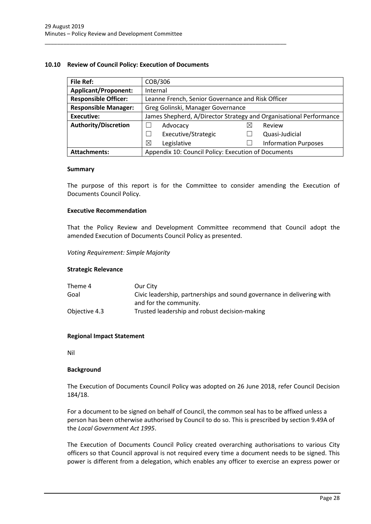## <span id="page-28-0"></span>**10.10 Review of Council Policy: Execution of Documents**

\_\_\_\_\_\_\_\_\_\_\_\_\_\_\_\_\_\_\_\_\_\_\_\_\_\_\_\_\_\_\_\_\_\_\_\_\_\_\_\_\_\_\_\_\_\_\_\_\_\_\_\_\_\_\_\_\_\_\_\_\_\_\_\_\_\_\_\_\_\_\_\_\_\_\_\_\_\_

| <b>File Ref:</b>            | COB/306                                                            |   |                             |  |
|-----------------------------|--------------------------------------------------------------------|---|-----------------------------|--|
| <b>Applicant/Proponent:</b> | Internal                                                           |   |                             |  |
| <b>Responsible Officer:</b> | Leanne French, Senior Governance and Risk Officer                  |   |                             |  |
| <b>Responsible Manager:</b> | Greg Golinski, Manager Governance                                  |   |                             |  |
| <b>Executive:</b>           | James Shepherd, A/Director Strategy and Organisational Performance |   |                             |  |
| <b>Authority/Discretion</b> | Advocacy                                                           | ⋉ | Review                      |  |
|                             | Executive/Strategic                                                |   | Quasi-Judicial              |  |
|                             | ⊠<br>Legislative                                                   |   | <b>Information Purposes</b> |  |
| <b>Attachments:</b>         | Appendix 10: Council Policy: Execution of Documents                |   |                             |  |

#### **Summary**

The purpose of this report is for the Committee to consider amending the Execution of Documents Council Policy.

## **Executive Recommendation**

That the Policy Review and Development Committee recommend that Council adopt the amended Execution of Documents Council Policy as presented.

*Voting Requirement: Simple Majority* 

## **Strategic Relevance**

| Theme 4       | Our City                                                               |
|---------------|------------------------------------------------------------------------|
| Goal          | Civic leadership, partnerships and sound governance in delivering with |
|               | and for the community.                                                 |
| Objective 4.3 | Trusted leadership and robust decision-making                          |

## **Regional Impact Statement**

Nil

#### **Background**

The Execution of Documents Council Policy was adopted on 26 June 2018, refer Council Decision 184/18.

For a document to be signed on behalf of Council, the common seal has to be affixed unless a person has been otherwise authorised by Council to do so. This is prescribed by section 9.49A of the *Local Government Act 1995*.

The Execution of Documents Council Policy created overarching authorisations to various City officers so that Council approval is not required every time a document needs to be signed. This power is different from a delegation, which enables any officer to exercise an express power or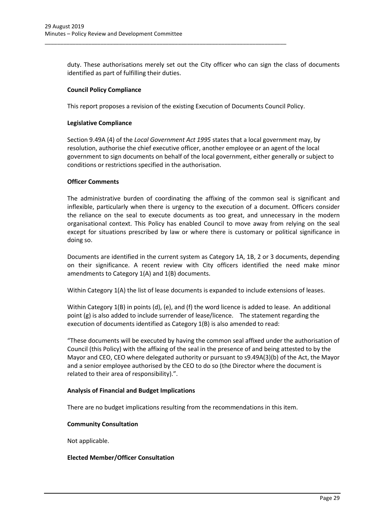duty. These authorisations merely set out the City officer who can sign the class of documents identified as part of fulfilling their duties.

## **Council Policy Compliance**

This report proposes a revision of the existing Execution of Documents Council Policy.

\_\_\_\_\_\_\_\_\_\_\_\_\_\_\_\_\_\_\_\_\_\_\_\_\_\_\_\_\_\_\_\_\_\_\_\_\_\_\_\_\_\_\_\_\_\_\_\_\_\_\_\_\_\_\_\_\_\_\_\_\_\_\_\_\_\_\_\_\_\_\_\_\_\_\_\_\_\_

## **Legislative Compliance**

Section 9.49A (4) of the *Local Government Act 1995* states that a local government may, by resolution, authorise the chief executive officer, another employee or an agent of the local government to sign documents on behalf of the local government, either generally or subject to conditions or restrictions specified in the authorisation.

## **Officer Comments**

The administrative burden of coordinating the affixing of the common seal is significant and inflexible, particularly when there is urgency to the execution of a document. Officers consider the reliance on the seal to execute documents as too great, and unnecessary in the modern organisational context. This Policy has enabled Council to move away from relying on the seal except for situations prescribed by law or where there is customary or political significance in doing so.

Documents are identified in the current system as Category 1A, 1B, 2 or 3 documents, depending on their significance. A recent review with City officers identified the need make minor amendments to Category 1(A) and 1(B) documents.

Within Category 1(A) the list of lease documents is expanded to include extensions of leases.

Within Category 1(B) in points (d), (e), and (f) the word licence is added to lease. An additional point (g) is also added to include surrender of lease/licence. The statement regarding the execution of documents identified as Category 1(B) is also amended to read:

"These documents will be executed by having the common seal affixed under the authorisation of Council (this Policy) with the affixing of the seal in the presence of and being attested to by the Mayor and CEO, CEO where delegated authority or pursuant to s9.49A(3)(b) of the Act, the Mayor and a senior employee authorised by the CEO to do so (the Director where the document is related to their area of responsibility).".

# **Analysis of Financial and Budget Implications**

There are no budget implications resulting from the recommendations in this item.

## **Community Consultation**

Not applicable.

## **Elected Member/Officer Consultation**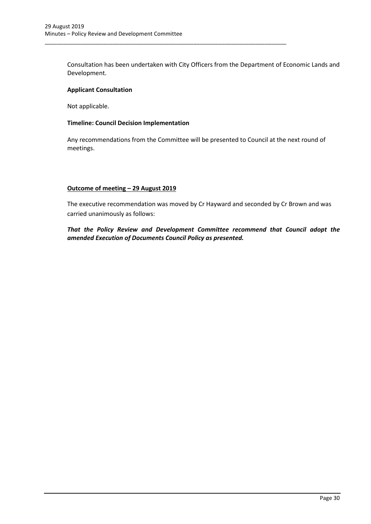Consultation has been undertaken with City Officers from the Department of Economic Lands and Development.

\_\_\_\_\_\_\_\_\_\_\_\_\_\_\_\_\_\_\_\_\_\_\_\_\_\_\_\_\_\_\_\_\_\_\_\_\_\_\_\_\_\_\_\_\_\_\_\_\_\_\_\_\_\_\_\_\_\_\_\_\_\_\_\_\_\_\_\_\_\_\_\_\_\_\_\_\_\_

## **Applicant Consultation**

Not applicable.

## **Timeline: Council Decision Implementation**

Any recommendations from the Committee will be presented to Council at the next round of meetings.

## **Outcome of meeting – 29 August 2019**

The executive recommendation was moved by Cr Hayward and seconded by Cr Brown and was carried unanimously as follows:

*That the Policy Review and Development Committee recommend that Council adopt the amended Execution of Documents Council Policy as presented.*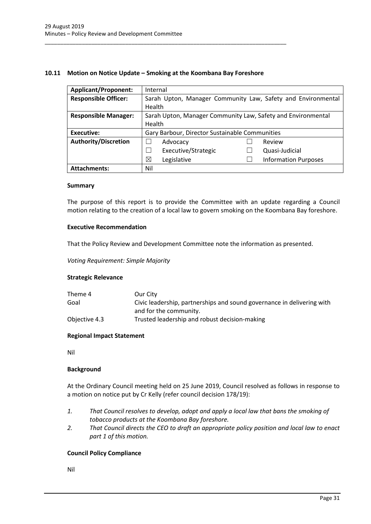## <span id="page-31-0"></span>**10.11 Motion on Notice Update – Smoking at the Koombana Bay Foreshore**

\_\_\_\_\_\_\_\_\_\_\_\_\_\_\_\_\_\_\_\_\_\_\_\_\_\_\_\_\_\_\_\_\_\_\_\_\_\_\_\_\_\_\_\_\_\_\_\_\_\_\_\_\_\_\_\_\_\_\_\_\_\_\_\_\_\_\_\_\_\_\_\_\_\_\_\_\_\_

| <b>Applicant/Proponent:</b> | Internal                                                     |  |  |
|-----------------------------|--------------------------------------------------------------|--|--|
| <b>Responsible Officer:</b> | Sarah Upton, Manager Community Law, Safety and Environmental |  |  |
|                             | Health                                                       |  |  |
| <b>Responsible Manager:</b> | Sarah Upton, Manager Community Law, Safety and Environmental |  |  |
|                             | Health                                                       |  |  |
| Executive:                  | Gary Barbour, Director Sustainable Communities               |  |  |
| <b>Authority/Discretion</b> | Review<br>Advocacy                                           |  |  |
|                             | Executive/Strategic<br>Quasi-Judicial                        |  |  |
|                             | ⊠<br><b>Information Purposes</b><br>Legislative              |  |  |
| <b>Attachments:</b>         | Nil                                                          |  |  |

#### **Summary**

The purpose of this report is to provide the Committee with an update regarding a Council motion relating to the creation of a local law to govern smoking on the Koombana Bay foreshore.

## **Executive Recommendation**

That the Policy Review and Development Committee note the information as presented.

*Voting Requirement: Simple Majority* 

## **Strategic Relevance**

| Theme 4       | Our City                                                               |
|---------------|------------------------------------------------------------------------|
| Goal          | Civic leadership, partnerships and sound governance in delivering with |
|               | and for the community.                                                 |
| Objective 4.3 | Trusted leadership and robust decision-making                          |

## **Regional Impact Statement**

Nil

## **Background**

At the Ordinary Council meeting held on 25 June 2019, Council resolved as follows in response to a motion on notice put by Cr Kelly (refer council decision 178/19):

- *1. That Council resolves to develop, adopt and apply a local law that bans the smoking of tobacco products at the Koombana Bay foreshore.*
- *2. That Council directs the CEO to draft an appropriate policy position and local law to enact part 1 of this motion.*

# **Council Policy Compliance**

Nil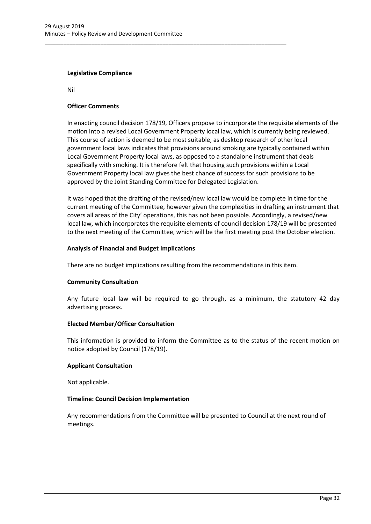\_\_\_\_\_\_\_\_\_\_\_\_\_\_\_\_\_\_\_\_\_\_\_\_\_\_\_\_\_\_\_\_\_\_\_\_\_\_\_\_\_\_\_\_\_\_\_\_\_\_\_\_\_\_\_\_\_\_\_\_\_\_\_\_\_\_\_\_\_\_\_\_\_\_\_\_\_\_

## **Legislative Compliance**

Nil

## **Officer Comments**

In enacting council decision 178/19, Officers propose to incorporate the requisite elements of the motion into a revised Local Government Property local law, which is currently being reviewed. This course of action is deemed to be most suitable, as desktop research of other local government local laws indicates that provisions around smoking are typically contained within Local Government Property local laws, as opposed to a standalone instrument that deals specifically with smoking. It is therefore felt that housing such provisions within a Local Government Property local law gives the best chance of success for such provisions to be approved by the Joint Standing Committee for Delegated Legislation.

It was hoped that the drafting of the revised/new local law would be complete in time for the current meeting of the Committee, however given the complexities in drafting an instrument that covers all areas of the City' operations, this has not been possible. Accordingly, a revised/new local law, which incorporates the requisite elements of council decision 178/19 will be presented to the next meeting of the Committee, which will be the first meeting post the October election.

## **Analysis of Financial and Budget Implications**

There are no budget implications resulting from the recommendations in this item.

# **Community Consultation**

Any future local law will be required to go through, as a minimum, the statutory 42 day advertising process.

## **Elected Member/Officer Consultation**

This information is provided to inform the Committee as to the status of the recent motion on notice adopted by Council (178/19).

## **Applicant Consultation**

Not applicable.

## **Timeline: Council Decision Implementation**

Any recommendations from the Committee will be presented to Council at the next round of meetings.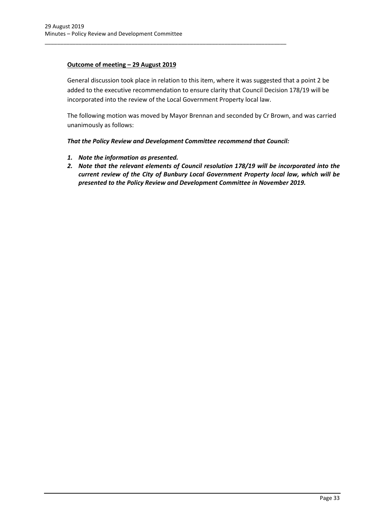# **Outcome of meeting – 29 August 2019**

General discussion took place in relation to this item, where it was suggested that a point 2 be added to the executive recommendation to ensure clarity that Council Decision 178/19 will be incorporated into the review of the Local Government Property local law.

The following motion was moved by Mayor Brennan and seconded by Cr Brown, and was carried unanimously as follows:

*That the Policy Review and Development Committee recommend that Council:*

\_\_\_\_\_\_\_\_\_\_\_\_\_\_\_\_\_\_\_\_\_\_\_\_\_\_\_\_\_\_\_\_\_\_\_\_\_\_\_\_\_\_\_\_\_\_\_\_\_\_\_\_\_\_\_\_\_\_\_\_\_\_\_\_\_\_\_\_\_\_\_\_\_\_\_\_\_\_

- *1. Note the information as presented.*
- *2. Note that the relevant elements of Council resolution 178/19 will be incorporated into the current review of the City of Bunbury Local Government Property local law, which will be presented to the Policy Review and Development Committee in November 2019.*